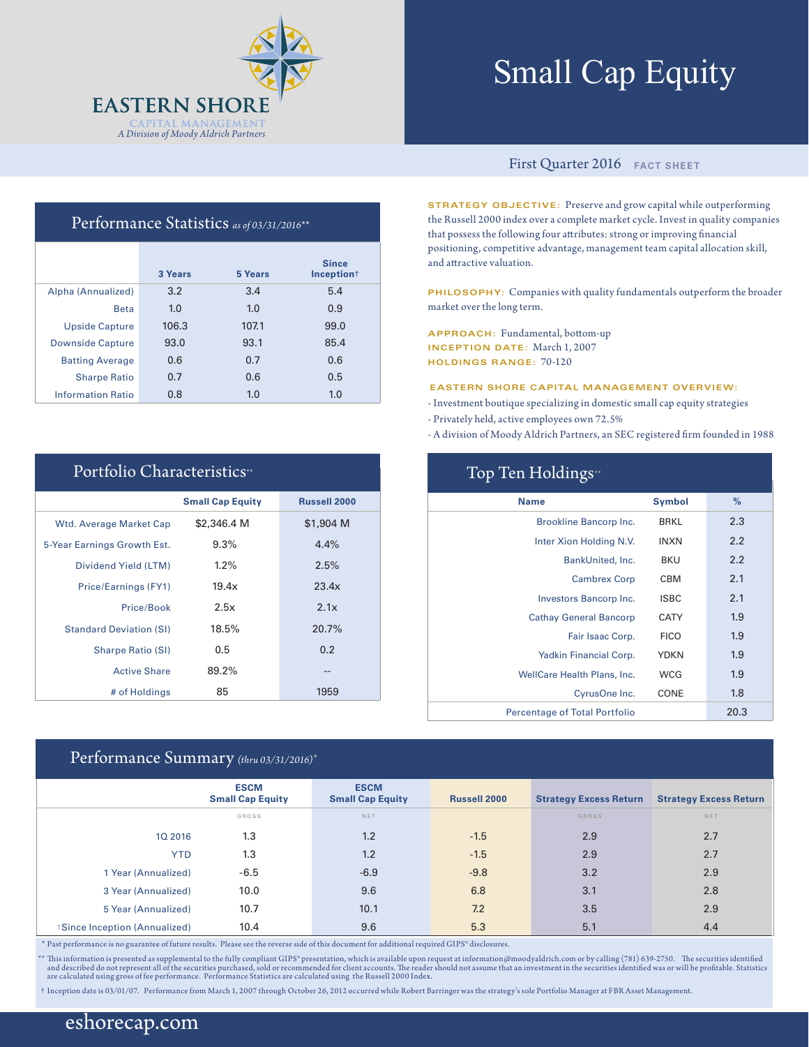

# Small Cap Equity

### Performance Statistics *as of 03/31/2016\*\**

|                          | 3 Years | 5 Years | <b>Since</b><br>Inception <sup>+</sup> |
|--------------------------|---------|---------|----------------------------------------|
| Alpha (Annualized)       | 3.2     | 3.4     | 5.4                                    |
| <b>Beta</b>              | 1.0     | 1.0     | 0.9                                    |
| <b>Upside Capture</b>    | 106.3   | 107.1   | 99.0                                   |
| <b>Downside Capture</b>  | 93.0    | 93.1    | 85.4                                   |
| <b>Batting Average</b>   | 0.6     | 0.7     | 0.6                                    |
| <b>Sharpe Ratio</b>      | 0.7     | 0.6     | 0.5                                    |
| <b>Information Ratio</b> | 0.8     | 1.0     | 1.0                                    |

| Portfolio Characteristics <sup>**</sup> |                         |                     |  |  |  |  |
|-----------------------------------------|-------------------------|---------------------|--|--|--|--|
|                                         | <b>Small Cap Equity</b> | <b>Russell 2000</b> |  |  |  |  |
| <b>Wtd. Average Market Cap</b>          | \$2,346.4 M             | \$1,904 M           |  |  |  |  |
| 5-Year Earnings Growth Est.             | 9.3%                    | 4.4%                |  |  |  |  |
| Dividend Yield (LTM)                    | $1.2\%$                 | 2.5%                |  |  |  |  |
| Price/Earnings (FY1)                    | 19.4x                   | 23.4x               |  |  |  |  |
| Price/Book                              | 2.5x                    | 2.1x                |  |  |  |  |
| <b>Standard Deviation (SI)</b>          | 18.5%                   | 20.7%               |  |  |  |  |
| <b>Sharpe Ratio (SI)</b>                | 0.5                     | 0.2                 |  |  |  |  |
| <b>Active Share</b>                     | 89.2%                   | --                  |  |  |  |  |
| # of Holdings                           | 85                      | 1959                |  |  |  |  |

## Performance Summary *(thru 03/31/2016)\**

#### First Quarter 2016 **FACT SHEET**

**STRATEGY OBJECTIVE:** Preserve and grow capital while outperforming the Russell 2000 index over a complete market cycle. Invest in quality companies that possess the following four attributes: strong or improving financial positioning, competitive advantage, management team capital allocation skill, and attractive valuation.

**PHILOSOPHY:** Companies with quality fundamentals outperform the broader market over the long term.

**APPROACH:** Fundamental, bottom-up **INCEPTION DATE:** March 1, 2007 **HOLDINGS RANGE:** 70-120

#### **EASTERN SHORE CAPITAL MANAGEMENT OVERVIEW:**

- Investment boutique specializing in domestic small cap equity strategies
- Privately held, active employees own 72.5%
- A division of Moody Aldrich Partners, an SEC registered firm founded in 1988

| Top Ten Holdings <sup>*</sup>        |               |      |  |  |  |  |
|--------------------------------------|---------------|------|--|--|--|--|
| <b>Name</b>                          | <b>Symbol</b> | $\%$ |  |  |  |  |
| Brookline Bancorp Inc.               | <b>BRKL</b>   | 2.3  |  |  |  |  |
| Inter Xion Holding N.V.              | <b>INXN</b>   | 2.2  |  |  |  |  |
| BankUnited, Inc.                     | BKU           | 2.2  |  |  |  |  |
| <b>Cambrex Corp</b>                  | CBM           | 2.1  |  |  |  |  |
| Investors Bancorp Inc.               | <b>ISBC</b>   | 2.1  |  |  |  |  |
| <b>Cathay General Bancorp</b>        | CATY          | 1.9  |  |  |  |  |
| Fair Isaac Corp.                     | <b>FICO</b>   | 1.9  |  |  |  |  |
| Yadkin Financial Corp.               | <b>YDKN</b>   | 1.9  |  |  |  |  |
| <b>WellCare Health Plans, Inc.</b>   | <b>WCG</b>    | 1.9  |  |  |  |  |
| CyrusOne Inc.                        | CONE          | 1.8  |  |  |  |  |
| <b>Percentage of Total Portfolio</b> |               | 20.3 |  |  |  |  |

|                              | <b>ESCM</b><br><b>Small Cap Equity</b> | <b>ESCM</b><br><b>Small Cap Equity</b> | <b>Russell 2000</b> | <b>Strategy Excess Return</b> | <b>Strategy Excess Return</b> |
|------------------------------|----------------------------------------|----------------------------------------|---------------------|-------------------------------|-------------------------------|
|                              | GROSS                                  | NET                                    |                     | <b>GROSS</b>                  | <b>NET</b>                    |
| 10 2016                      | 1.3                                    | 1.2                                    | $-1.5$              | 2.9                           | 2.7                           |
| <b>YTD</b>                   | 1.3                                    | 1.2                                    | $-1.5$              | 2.9                           | 2.7                           |
| 1 Year (Annualized)          | $-6.5$                                 | $-6.9$                                 | $-9.8$              | 3.2                           | 2.9                           |
| 3 Year (Annualized)          | 10.0                                   | 9.6                                    | 6.8                 | 3.1                           | 2.8                           |
| 5 Year (Annualized)          | 10.7                                   | 10.1                                   | 7.2                 | 3.5                           | 2.9                           |
| Since Inception (Annualized) | 10.4                                   | 9.6                                    | 5.3                 | 5.1                           | 4.4                           |

\* Past performance is no guarantee of future results. Please see the reverse side of this document for additional required GIPS® disclosures.

\*\* This information is presented as supplemental to the fully compliant GIPS\* presentation, which is available upon request at information@moodyaldrich.com or by calling (781) 639-2750. The securities identified<br>and descri

† Inception date is 03/01/07. Performance from March 1, 2007 through October 26, 2012 occurred while Robert Barringer was the strategy's sole Portfolio Manager at FBR Asset Management.

## eshorecap.com